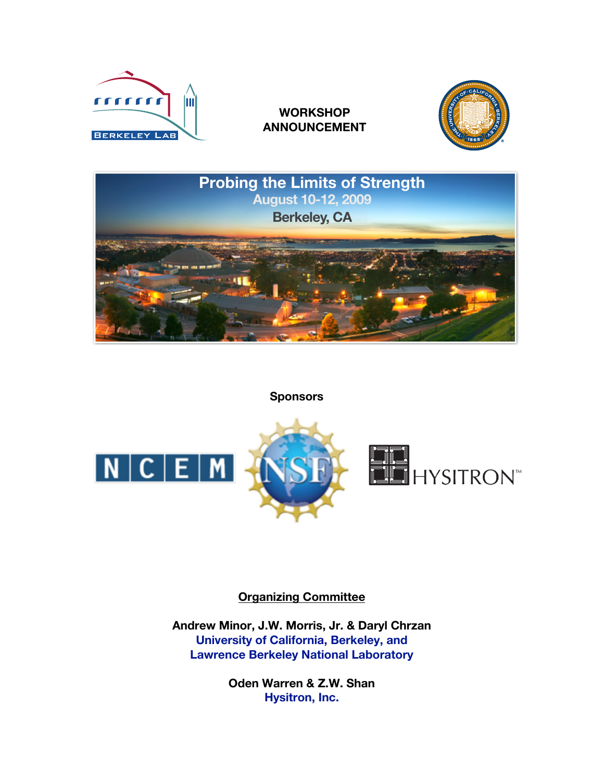

# **WORKSHOP ANNOUNCEMENT**





**Sponsors**



## **Organizing Committee**

**Andrew Minor, J.W. Morris, Jr. & Daryl Chrzan University of California, Berkeley, and Lawrence Berkeley National Laboratory**

> **Oden Warren & Z.W. Shan Hysitron, Inc.**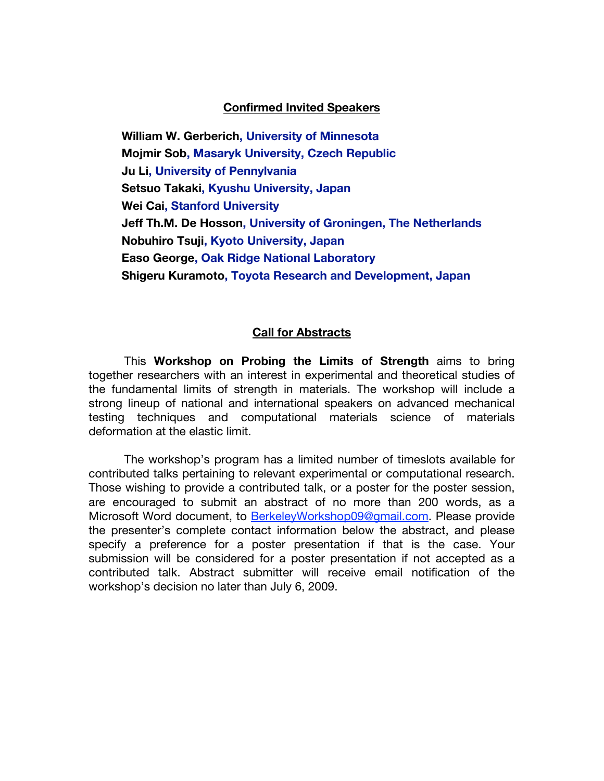#### **Confirmed Invited Speakers**

 **William W. Gerberich, University of Minnesota Mojmir Sob, Masaryk University, Czech Republic Ju Li, University of Pennylvania Setsuo Takaki, Kyushu University, Japan Wei Cai, Stanford University Jeff Th.M. De Hosson, University of Groningen, The Netherlands Nobuhiro Tsuji, Kyoto University, Japan Easo George, Oak Ridge National Laboratory Shigeru Kuramoto, Toyota Research and Development, Japan**

#### **Call for Abstracts**

This **Workshop on Probing the Limits of Strength** aims to bring together researchers with an interest in experimental and theoretical studies of the fundamental limits of strength in materials. The workshop will include a strong lineup of national and international speakers on advanced mechanical testing techniques and computational materials science of materials deformation at the elastic limit.

The workshop's program has a limited number of timeslots available for contributed talks pertaining to relevant experimental or computational research. Those wishing to provide a contributed talk, or a poster for the poster session, are encouraged to submit an abstract of no more than 200 words, as a Microsoft Word document, to BerkeleyWorkshop09@gmail.com. Please provide the presenter's complete contact information below the abstract, and please specify a preference for a poster presentation if that is the case. Your submission will be considered for a poster presentation if not accepted as a contributed talk. Abstract submitter will receive email notification of the workshop's decision no later than July 6, 2009.